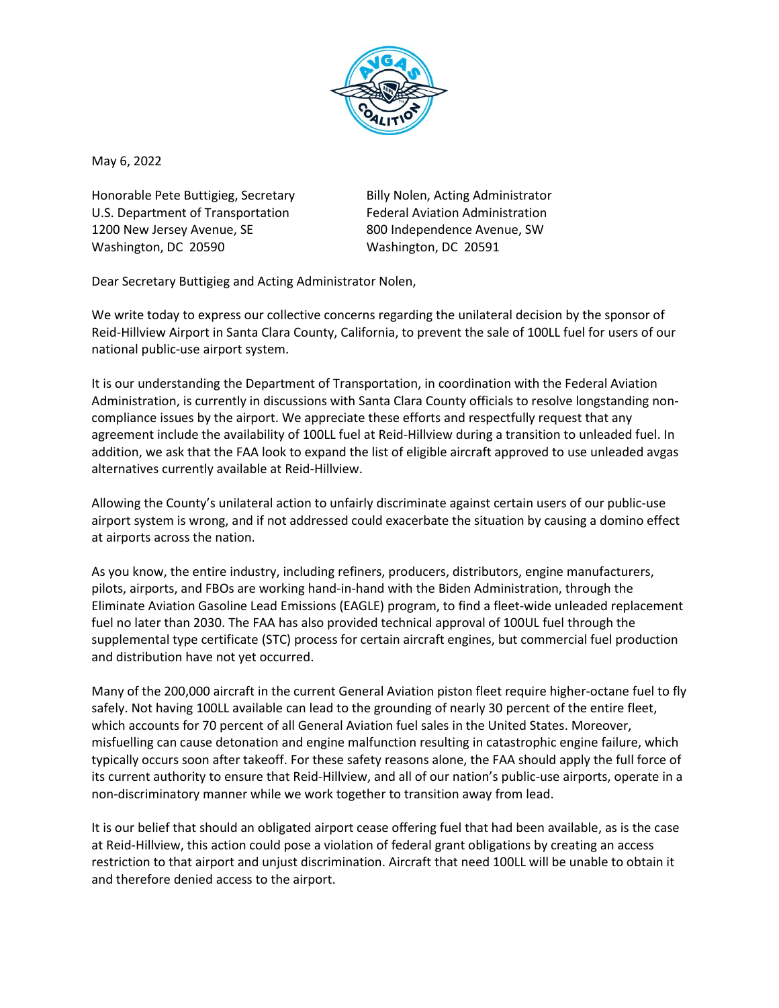

May 6, 2022

Honorable Pete Buttigieg, Secretary **Billy Nolen, Acting Administrator** U.S. Department of Transportation Federal Aviation Administration 1200 New Jersey Avenue, SE 800 Independence Avenue, SW Washington, DC 20590 Washington, DC 20591

Dear Secretary Buttigieg and Acting Administrator Nolen,

We write today to express our collective concerns regarding the unilateral decision by the sponsor of Reid-Hillview Airport in Santa Clara County, California, to prevent the sale of 100LL fuel for users of our national public-use airport system.

It is our understanding the Department of Transportation, in coordination with the Federal Aviation Administration, is currently in discussions with Santa Clara County officials to resolve longstanding noncompliance issues by the airport. We appreciate these efforts and respectfully request that any agreement include the availability of 100LL fuel at Reid-Hillview during a transition to unleaded fuel. In addition, we ask that the FAA look to expand the list of eligible aircraft approved to use unleaded avgas alternatives currently available at Reid-Hillview.

Allowing the County's unilateral action to unfairly discriminate against certain users of our public-use airport system is wrong, and if not addressed could exacerbate the situation by causing a domino effect at airports across the nation.

As you know, the entire industry, including refiners, producers, distributors, engine manufacturers, pilots, airports, and FBOs are working hand-in-hand with the Biden Administration, through the Eliminate Aviation Gasoline Lead Emissions (EAGLE) program, to find a fleet-wide unleaded replacement fuel no later than 2030. The FAA has also provided technical approval of 100UL fuel through the supplemental type certificate (STC) process for certain aircraft engines, but commercial fuel production and distribution have not yet occurred.

Many of the 200,000 aircraft in the current General Aviation piston fleet require higher-octane fuel to fly safely. Not having 100LL available can lead to the grounding of nearly 30 percent of the entire fleet, which accounts for 70 percent of all General Aviation fuel sales in the United States. Moreover, misfuelling can cause detonation and engine malfunction resulting in catastrophic engine failure, which typically occurs soon after takeoff. For these safety reasons alone, the FAA should apply the full force of its current authority to ensure that Reid-Hillview, and all of our nation's public-use airports, operate in a non-discriminatory manner while we work together to transition away from lead.

It is our belief that should an obligated airport cease offering fuel that had been available, as is the case at Reid-Hillview, this action could pose a violation of federal grant obligations by creating an access restriction to that airport and unjust discrimination. Aircraft that need 100LL will be unable to obtain it and therefore denied access to the airport.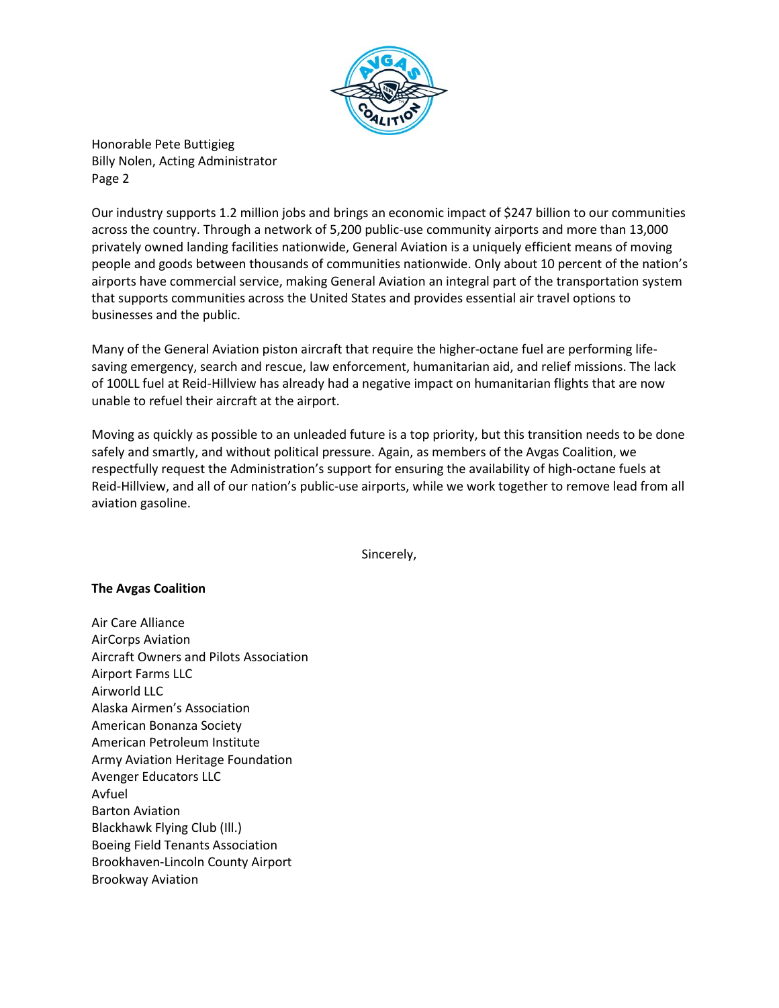

Our industry supports 1.2 million jobs and brings an economic impact of \$247 billion to our communities across the country. Through a network of 5,200 public-use community airports and more than 13,000 privately owned landing facilities nationwide, General Aviation is a uniquely efficient means of moving people and goods between thousands of communities nationwide. Only about 10 percent of the nation's airports have commercial service, making General Aviation an integral part of the transportation system that supports communities across the United States and provides essential air travel options to businesses and the public.

Many of the General Aviation piston aircraft that require the higher-octane fuel are performing lifesaving emergency, search and rescue, law enforcement, humanitarian aid, and relief missions. The lack of 100LL fuel at Reid-Hillview has already had a negative impact on humanitarian flights that are now unable to refuel their aircraft at the airport.

Moving as quickly as possible to an unleaded future is a top priority, but this transition needs to be done safely and smartly, and without political pressure. Again, as members of the Avgas Coalition, we respectfully request the Administration's support for ensuring the availability of high-octane fuels at Reid-Hillview, and all of our nation's public-use airports, while we work together to remove lead from all aviation gasoline.

Sincerely,

## **The Avgas Coalition**

Air Care Alliance AirCorps Aviation Aircraft Owners and Pilots Association Airport Farms LLC Airworld LLC Alaska Airmen's Association American Bonanza Society American Petroleum Institute Army Aviation Heritage Foundation Avenger Educators LLC Avfuel Barton Aviation Blackhawk Flying Club (Ill.) Boeing Field Tenants Association Brookhaven-Lincoln County Airport Brookway Aviation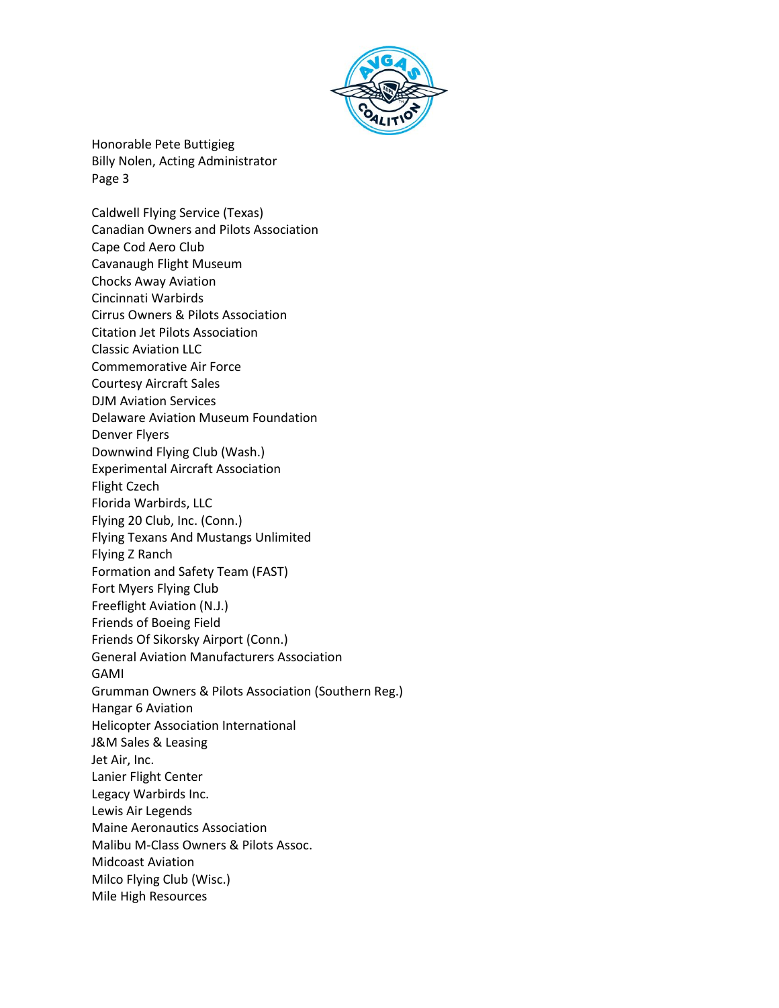

Caldwell Flying Service (Texas) Canadian Owners and Pilots Association Cape Cod Aero Club Cavanaugh Flight Museum Chocks Away Aviation Cincinnati Warbirds Cirrus Owners & Pilots Association Citation Jet Pilots Association Classic Aviation LLC Commemorative Air Force Courtesy Aircraft Sales DJM Aviation Services Delaware Aviation Museum Foundation Denver Flyers Downwind Flying Club (Wash.) Experimental Aircraft Association Flight Czech Florida Warbirds, LLC Flying 20 Club, Inc. (Conn.) Flying Texans And Mustangs Unlimited Flying Z Ranch Formation and Safety Team (FAST) Fort Myers Flying Club Freeflight Aviation (N.J.) Friends of Boeing Field Friends Of Sikorsky Airport (Conn.) General Aviation Manufacturers Association GAMI Grumman Owners & Pilots Association (Southern Reg.) Hangar 6 Aviation Helicopter Association International J&M Sales & Leasing Jet Air, Inc. Lanier Flight Center Legacy Warbirds Inc. Lewis Air Legends Maine Aeronautics Association Malibu M-Class Owners & Pilots Assoc. Midcoast Aviation Milco Flying Club (Wisc.) Mile High Resources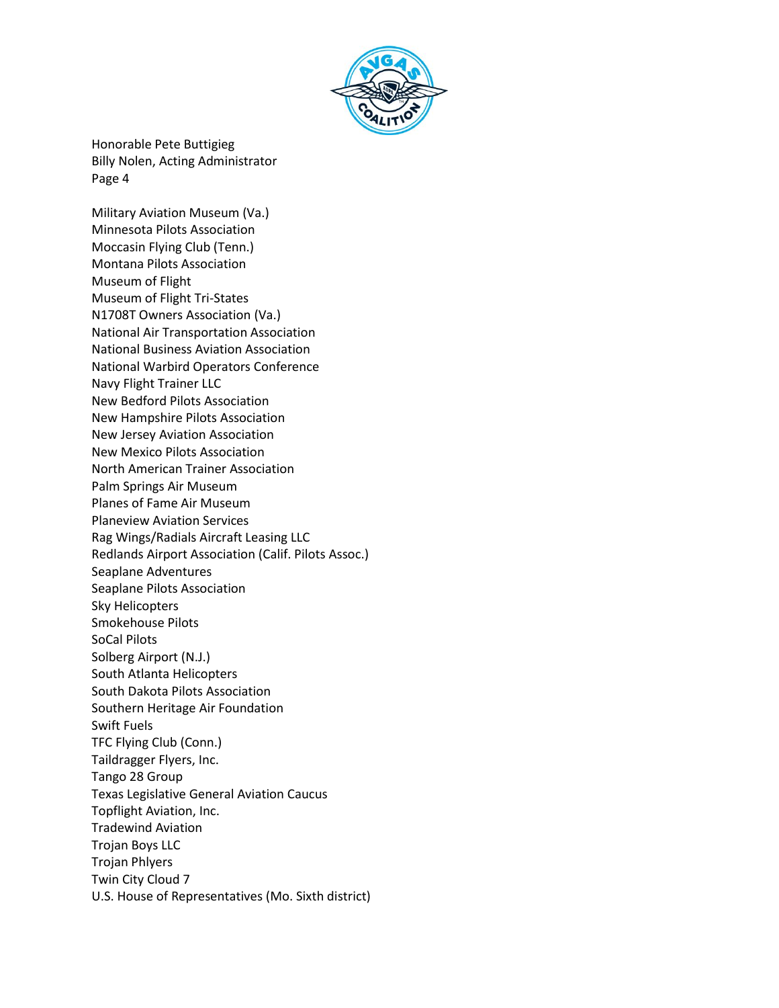

Military Aviation Museum (Va.) Minnesota Pilots Association Moccasin Flying Club (Tenn.) Montana Pilots Association Museum of Flight Museum of Flight Tri-States N1708T Owners Association (Va.) National Air Transportation Association National Business Aviation Association National Warbird Operators Conference Navy Flight Trainer LLC New Bedford Pilots Association New Hampshire Pilots Association New Jersey Aviation Association New Mexico Pilots Association North American Trainer Association Palm Springs Air Museum Planes of Fame Air Museum Planeview Aviation Services Rag Wings/Radials Aircraft Leasing LLC Redlands Airport Association (Calif. Pilots Assoc.) Seaplane Adventures Seaplane Pilots Association Sky Helicopters Smokehouse Pilots SoCal Pilots Solberg Airport (N.J.) South Atlanta Helicopters South Dakota Pilots Association Southern Heritage Air Foundation Swift Fuels TFC Flying Club (Conn.) Taildragger Flyers, Inc. Tango 28 Group Texas Legislative General Aviation Caucus Topflight Aviation, Inc. Tradewind Aviation Trojan Boys LLC Trojan Phlyers Twin City Cloud 7 U.S. House of Representatives (Mo. Sixth district)